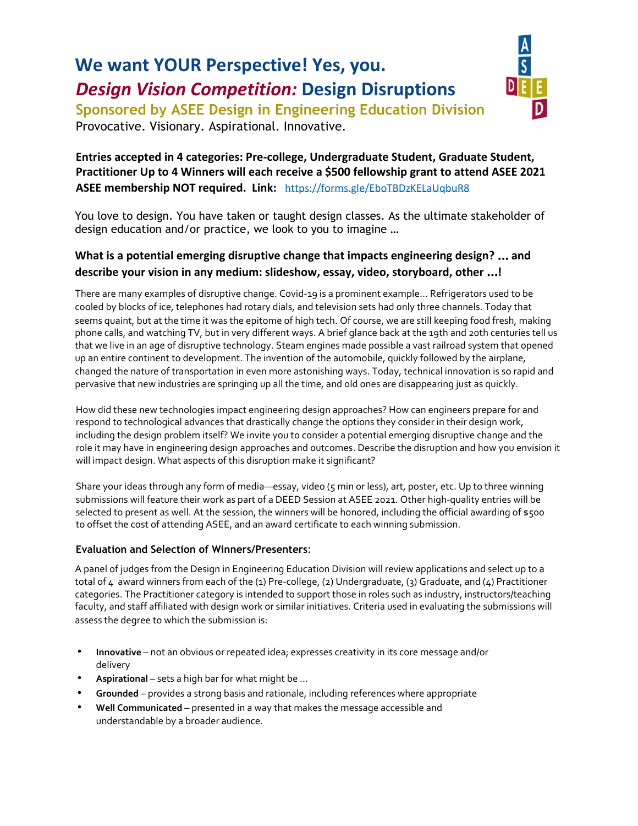# **We want YOUR Perspective! Yes, you.** *Design Vision Competition:* **Design Disruptions**



**Sponsored by ASEE Design in Engineering Education Division** Provocative. Visionary. Aspirational. Innovative.

# **Entries accepted in 4 categories: Pre-college, Undergraduate Student, Graduate Student, Practitioner Up to 4 Winners will each receive a \$500 fellowship grant to attend ASEE 2021 ASEE membership NOT required. Link:** <https://forms.gle/EboTBDzKELaUqbuR8>

You love to design. You have taken or taught design classes. As the ultimate stakeholder of design education and/or practice, we look to you to imagine …

# **What is a potential emerging disruptive change that impacts engineering design?** … **and describe your vision in any medium: slideshow, essay, video, storyboard, other** …**!**

There are many examples of disruptive change. Covid-19 is a prominent example… Refrigerators used to be cooled by blocks of ice, telephones had rotary dials, and television sets had only three channels. Today that seems quaint, but at the time it was the epitome of high tech. Of course, we are still keeping food fresh, making phone calls, and watching TV, but in very different ways. A brief glance back at the 19th and 20th centuries tell us that we live in an age of disruptive technology. Steam engines made possible a vast railroad system that opened up an entire continent to development. The invention of the automobile, quickly followed by the airplane, changed the nature of transportation in even more astonishing ways. Today, technical innovation is so rapid and pervasive that new industries are springing up all the time, and old ones are disappearing just as quickly.

How did these new technologies impact engineering design approaches? How can engineers prepare for and respond to technological advances that drastically change the options they consider in their design work, including the design problem itself? We invite you to consider a potential emerging disruptive change and the role it may have in engineering design approaches and outcomes. Describe the disruption and how you envision it will impact design. What aspects of this disruption make it significant?

Share your ideas through any form of media—essay, video (5 min or less), art, poster, etc. Up to three winning submissions will feature their work as part of a DEED Session at ASEE 2021. Other high-quality entries will be selected to present as well. At the session, the winners will be honored, including the official awarding of \$500 to offset the cost of attending ASEE, and an award certificate to each winning submission.

## **Evaluation and Selection of Winners/Presenters**:

A panel of judges from the Design in Engineering Education Division will review applications and select up to a total of 4 award winners from each of the (1) Pre-college, (2) Undergraduate, (3) Graduate, and (4) Practitioner categories. The Practitioner category is intended to support those in roles such as industry, instructors/teaching faculty, and staff affiliated with design work or similar initiatives. Criteria used in evaluating the submissions will assess the degree to which the submission is:

- **Innovative** not an obvious or repeated idea; expresses creativity in its core message and/or delivery
- **Aspirational** sets a high bar for what might be ...
- **Grounded** provides a strong basis and rationale, including references where appropriate
- **Well Communicated** presented in a way that makes the message accessible and understandable by a broader audience.